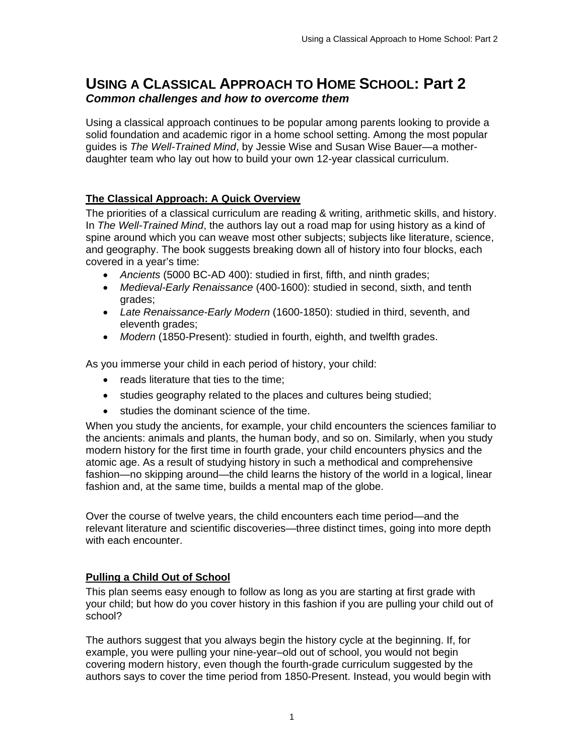# **USING A CLASSICAL APPROACH TO HOME SCHOOL: Part 2**  *Common challenges and how to overcome them*

Using a classical approach continues to be popular among parents looking to provide a solid foundation and academic rigor in a home school setting. Among the most popular guides is *The Well-Trained Mind*, by Jessie Wise and Susan Wise Bauer—a motherdaughter team who lay out how to build your own 12-year classical curriculum.

# **The Classical Approach: A Quick Overview**

The priorities of a classical curriculum are reading & writing, arithmetic skills, and history. In *The Well-Trained Mind*, the authors lay out a road map for using history as a kind of spine around which you can weave most other subjects; subjects like literature, science, and geography. The book suggests breaking down all of history into four blocks, each covered in a year's time:

- *Ancients* (5000 BC-AD 400): studied in first, fifth, and ninth grades;
- *Medieval-Early Renaissance* (400-1600): studied in second, sixth, and tenth grades;
- *Late Renaissance-Early Modern* (1600-1850): studied in third, seventh, and eleventh grades;
- *Modern* (1850-Present): studied in fourth, eighth, and twelfth grades.

As you immerse your child in each period of history, your child:

- reads literature that ties to the time;
- studies geography related to the places and cultures being studied;
- studies the dominant science of the time.

When you study the ancients, for example, your child encounters the sciences familiar to the ancients: animals and plants, the human body, and so on. Similarly, when you study modern history for the first time in fourth grade, your child encounters physics and the atomic age. As a result of studying history in such a methodical and comprehensive fashion—no skipping around—the child learns the history of the world in a logical, linear fashion and, at the same time, builds a mental map of the globe.

Over the course of twelve years, the child encounters each time period—and the relevant literature and scientific discoveries—three distinct times, going into more depth with each encounter.

## **Pulling a Child Out of School**

This plan seems easy enough to follow as long as you are starting at first grade with your child; but how do you cover history in this fashion if you are pulling your child out of school?

The authors suggest that you always begin the history cycle at the beginning. If, for example, you were pulling your nine-year–old out of school, you would not begin covering modern history, even though the fourth-grade curriculum suggested by the authors says to cover the time period from 1850-Present. Instead, you would begin with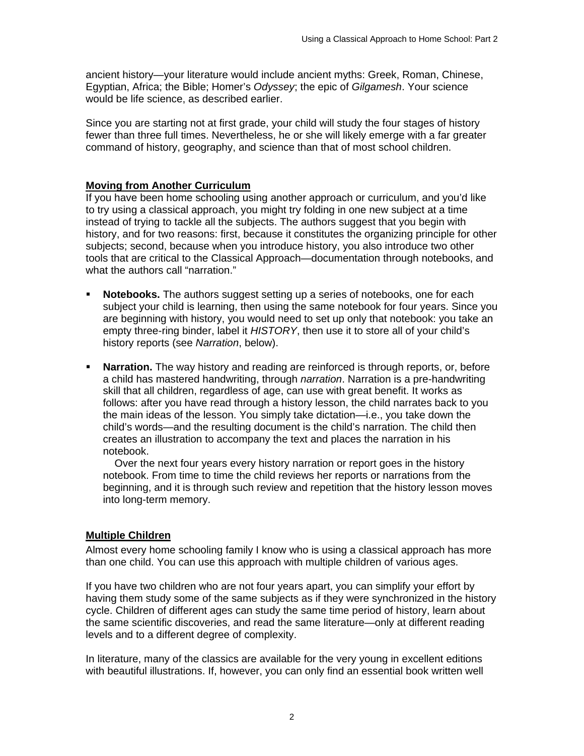ancient history—your literature would include ancient myths: Greek, Roman, Chinese, Egyptian, Africa; the Bible; Homer's *Odyssey*; the epic of *Gilgamesh*. Your science would be life science, as described earlier.

Since you are starting not at first grade, your child will study the four stages of history fewer than three full times. Nevertheless, he or she will likely emerge with a far greater command of history, geography, and science than that of most school children.

#### **Moving from Another Curriculum**

If you have been home schooling using another approach or curriculum, and you'd like to try using a classical approach, you might try folding in one new subject at a time instead of trying to tackle all the subjects. The authors suggest that you begin with history, and for two reasons: first, because it constitutes the organizing principle for other subjects; second, because when you introduce history, you also introduce two other tools that are critical to the Classical Approach—documentation through notebooks, and what the authors call "narration."

- **Notebooks.** The authors suggest setting up a series of notebooks, one for each subject your child is learning, then using the same notebook for four years. Since you are beginning with history, you would need to set up only that notebook: you take an empty three-ring binder, label it *HISTORY*, then use it to store all of your child's history reports (see *Narration*, below).
- **Narration.** The way history and reading are reinforced is through reports, or, before a child has mastered handwriting, through *narration*. Narration is a pre-handwriting skill that all children, regardless of age, can use with great benefit. It works as follows: after you have read through a history lesson, the child narrates back to you the main ideas of the lesson. You simply take dictation—i.e., you take down the child's words—and the resulting document is the child's narration. The child then creates an illustration to accompany the text and places the narration in his notebook.

 Over the next four years every history narration or report goes in the history notebook. From time to time the child reviews her reports or narrations from the beginning, and it is through such review and repetition that the history lesson moves into long-term memory.

## **Multiple Children**

Almost every home schooling family I know who is using a classical approach has more than one child. You can use this approach with multiple children of various ages.

If you have two children who are not four years apart, you can simplify your effort by having them study some of the same subjects as if they were synchronized in the history cycle. Children of different ages can study the same time period of history, learn about the same scientific discoveries, and read the same literature—only at different reading levels and to a different degree of complexity.

In literature, many of the classics are available for the very young in excellent editions with beautiful illustrations. If, however, you can only find an essential book written well